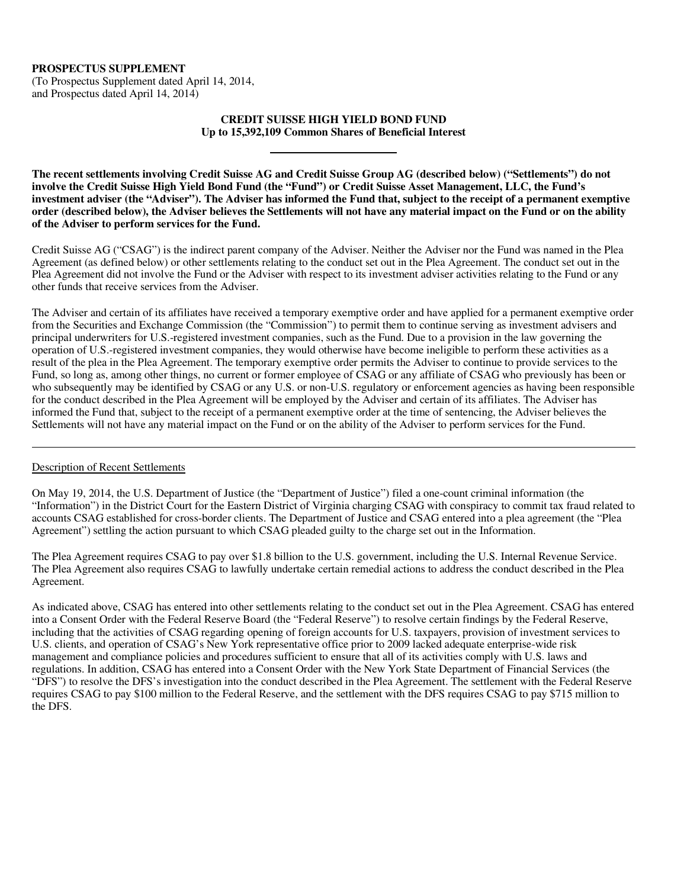## **PROSPECTUS SUPPLEMENT**

(To Prospectus Supplement dated April 14, 2014, and Prospectus dated April 14, 2014)

## **CREDIT SUISSE HIGH YIELD BOND FUND Up to 15,392,109 Common Shares of Beneficial Interest**

**The recent settlements involving Credit Suisse AG and Credit Suisse Group AG (described below) ("Settlements") do not involve the Credit Suisse High Yield Bond Fund (the "Fund") or Credit Suisse Asset Management, LLC, the Fund's investment adviser (the "Adviser"). The Adviser has informed the Fund that, subject to the receipt of a permanent exemptive order (described below), the Adviser believes the Settlements will not have any material impact on the Fund or on the ability of the Adviser to perform services for the Fund.** 

Credit Suisse AG ("CSAG") is the indirect parent company of the Adviser. Neither the Adviser nor the Fund was named in the Plea Agreement (as defined below) or other settlements relating to the conduct set out in the Plea Agreement. The conduct set out in the Plea Agreement did not involve the Fund or the Adviser with respect to its investment adviser activities relating to the Fund or any other funds that receive services from the Adviser.

The Adviser and certain of its affiliates have received a temporary exemptive order and have applied for a permanent exemptive order from the Securities and Exchange Commission (the "Commission") to permit them to continue serving as investment advisers and principal underwriters for U.S.-registered investment companies, such as the Fund. Due to a provision in the law governing the operation of U.S.-registered investment companies, they would otherwise have become ineligible to perform these activities as a result of the plea in the Plea Agreement. The temporary exemptive order permits the Adviser to continue to provide services to the Fund, so long as, among other things, no current or former employee of CSAG or any affiliate of CSAG who previously has been or who subsequently may be identified by CSAG or any U.S. or non-U.S. regulatory or enforcement agencies as having been responsible for the conduct described in the Plea Agreement will be employed by the Adviser and certain of its affiliates. The Adviser has informed the Fund that, subject to the receipt of a permanent exemptive order at the time of sentencing, the Adviser believes the Settlements will not have any material impact on the Fund or on the ability of the Adviser to perform services for the Fund.

## Description of Recent Settlements

j

On May 19, 2014, the U.S. Department of Justice (the "Department of Justice") filed a one-count criminal information (the "Information") in the District Court for the Eastern District of Virginia charging CSAG with conspiracy to commit tax fraud related to accounts CSAG established for cross-border clients. The Department of Justice and CSAG entered into a plea agreement (the "Plea Agreement") settling the action pursuant to which CSAG pleaded guilty to the charge set out in the Information.

The Plea Agreement requires CSAG to pay over \$1.8 billion to the U.S. government, including the U.S. Internal Revenue Service. The Plea Agreement also requires CSAG to lawfully undertake certain remedial actions to address the conduct described in the Plea Agreement.

As indicated above, CSAG has entered into other settlements relating to the conduct set out in the Plea Agreement. CSAG has entered into a Consent Order with the Federal Reserve Board (the "Federal Reserve") to resolve certain findings by the Federal Reserve, including that the activities of CSAG regarding opening of foreign accounts for U.S. taxpayers, provision of investment services to U.S. clients, and operation of CSAG's New York representative office prior to 2009 lacked adequate enterprise-wide risk management and compliance policies and procedures sufficient to ensure that all of its activities comply with U.S. laws and regulations. In addition, CSAG has entered into a Consent Order with the New York State Department of Financial Services (the "DFS") to resolve the DFS's investigation into the conduct described in the Plea Agreement. The settlement with the Federal Reserve requires CSAG to pay \$100 million to the Federal Reserve, and the settlement with the DFS requires CSAG to pay \$715 million to the DFS.